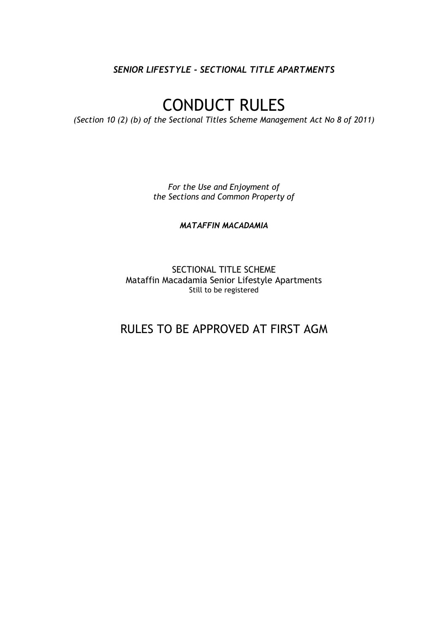*SENIOR LIFESTYLE - SECTIONAL TITLE APARTMENTS*

# CONDUCT RULES

*(Section 10 (2) (b) of the Sectional Titles Scheme Management Act No 8 of 2011)*

*For the Use and Enjoyment of the Sections and Common Property of*

*MATAFFIN MACADAMIA*

SECTIONAL TITLE SCHEME Mataffin Macadamia Senior Lifestyle Apartments Still to be registered

RULES TO BE APPROVED AT FIRST AGM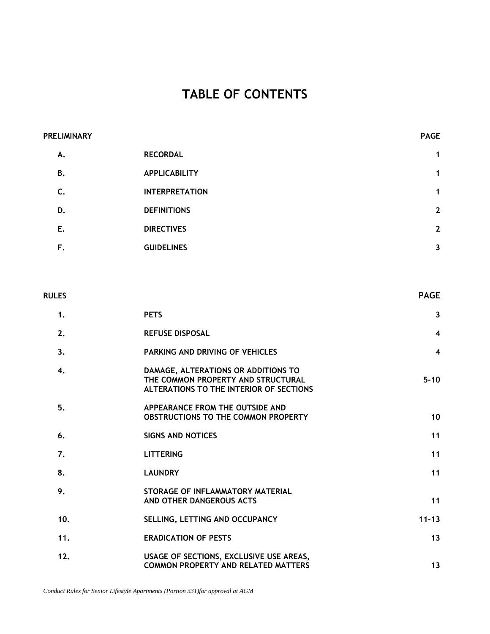# **TABLE OF CONTENTS**

| <b>PRELIMINARY</b> |                       | <b>PAGE</b>    |
|--------------------|-----------------------|----------------|
| А.                 | <b>RECORDAL</b>       | $\mathbf{1}$   |
| <b>B.</b>          | <b>APPLICABILITY</b>  | $\mathbf{1}$   |
| C.                 | <b>INTERPRETATION</b> | $\mathbf{1}$   |
| D.                 | <b>DEFINITIONS</b>    | $\mathbf{2}$   |
| Ε.                 | <b>DIRECTIVES</b>     | $\overline{2}$ |
| F.                 | <b>GUIDELINES</b>     | 3              |

| <b>RULES</b> |                                                                                                                      | <b>PAGE</b>             |
|--------------|----------------------------------------------------------------------------------------------------------------------|-------------------------|
| 1.           | <b>PETS</b>                                                                                                          | $\mathbf{3}$            |
| 2.           | <b>REFUSE DISPOSAL</b>                                                                                               | $\overline{\mathbf{4}}$ |
| 3.           | PARKING AND DRIVING OF VEHICLES                                                                                      | $\overline{\mathbf{4}}$ |
| 4.           | DAMAGE, ALTERATIONS OR ADDITIONS TO<br>THE COMMON PROPERTY AND STRUCTURAL<br>ALTERATIONS TO THE INTERIOR OF SECTIONS | $5 - 10$                |
| 5.           | APPEARANCE FROM THE OUTSIDE AND<br><b>OBSTRUCTIONS TO THE COMMON PROPERTY</b>                                        | 10                      |
| 6.           | <b>SIGNS AND NOTICES</b>                                                                                             | 11                      |
| 7.           | <b>LITTERING</b>                                                                                                     | 11                      |
| 8.           | <b>LAUNDRY</b>                                                                                                       | 11                      |
| 9.           | STORAGE OF INFLAMMATORY MATERIAL<br>AND OTHER DANGEROUS ACTS                                                         | 11                      |
| 10.          | SELLING, LETTING AND OCCUPANCY                                                                                       | $11 - 13$               |
| 11.          | <b>ERADICATION OF PESTS</b>                                                                                          | 13                      |
| 12.          | USAGE OF SECTIONS, EXCLUSIVE USE AREAS,<br><b>COMMON PROPERTY AND RELATED MATTERS</b>                                | 13                      |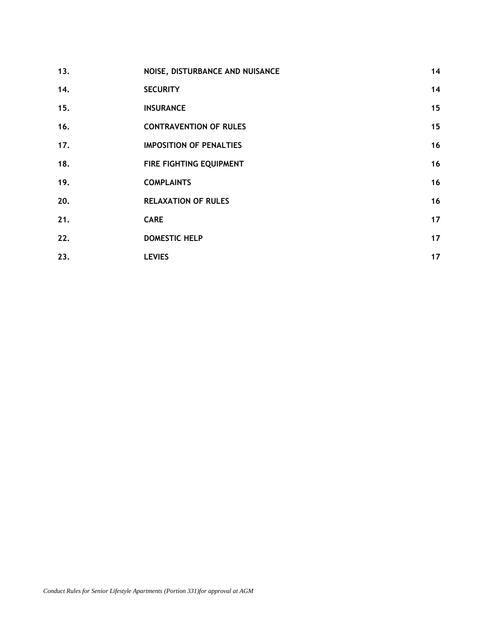| 13. | NOISE, DISTURBANCE AND NUISANCE | 14 |
|-----|---------------------------------|----|
| 14. | <b>SECURITY</b>                 | 14 |
| 15. | <b>INSURANCE</b>                | 15 |
| 16. | <b>CONTRAVENTION OF RULES</b>   | 15 |
| 17. | <b>IMPOSITION OF PENALTIES</b>  | 16 |
| 18. | FIRE FIGHTING EQUIPMENT         | 16 |
| 19. | <b>COMPLAINTS</b>               | 16 |
| 20. | <b>RELAXATION OF RULES</b>      | 16 |
| 21. | <b>CARE</b>                     | 17 |
| 22. | <b>DOMESTIC HELP</b>            | 17 |
| 23. | <b>LEVIES</b>                   | 17 |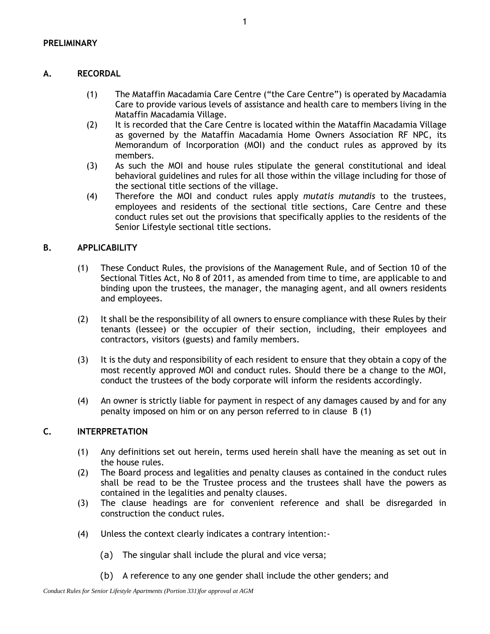# **A. RECORDAL**

- (1) The Mataffin Macadamia Care Centre ("the Care Centre") is operated by Macadamia Care to provide various levels of assistance and health care to members living in the Mataffin Macadamia Village.
- (2) It is recorded that the Care Centre is located within the Mataffin Macadamia Village as governed by the Mataffin Macadamia Home Owners Association RF NPC, its Memorandum of Incorporation (MOI) and the conduct rules as approved by its members.
- (3) As such the MOI and house rules stipulate the general constitutional and ideal behavioral guidelines and rules for all those within the village including for those of the sectional title sections of the village.
- (4) Therefore the MOI and conduct rules apply *mutatis mutandis* to the trustees, employees and residents of the sectional title sections, Care Centre and these conduct rules set out the provisions that specifically applies to the residents of the Senior Lifestyle sectional title sections.

#### **B. APPLICABILITY**

- (1) These Conduct Rules, the provisions of the Management Rule, and of Section 10 of the Sectional Titles Act, No 8 of 2011, as amended from time to time, are applicable to and binding upon the trustees, the manager, the managing agent, and all owners residents and employees.
- (2) It shall be the responsibility of all owners to ensure compliance with these Rules by their tenants (lessee) or the occupier of their section, including, their employees and contractors, visitors (guests) and family members.
- (3) It is the duty and responsibility of each resident to ensure that they obtain a copy of the most recently approved MOI and conduct rules. Should there be a change to the MOI, conduct the trustees of the body corporate will inform the residents accordingly.
- (4) An owner is strictly liable for payment in respect of any damages caused by and for any penalty imposed on him or on any person referred to in clause B (1)

# **C. INTERPRETATION**

- (1) Any definitions set out herein, terms used herein shall have the meaning as set out in the house rules.
- (2) The Board process and legalities and penalty clauses as contained in the conduct rules shall be read to be the Trustee process and the trustees shall have the powers as contained in the legalities and penalty clauses.
- (3) The clause headings are for convenient reference and shall be disregarded in construction the conduct rules.
- (4) Unless the context clearly indicates a contrary intention:-
	- (a) The singular shall include the plural and vice versa;
	- (b) A reference to any one gender shall include the other genders; and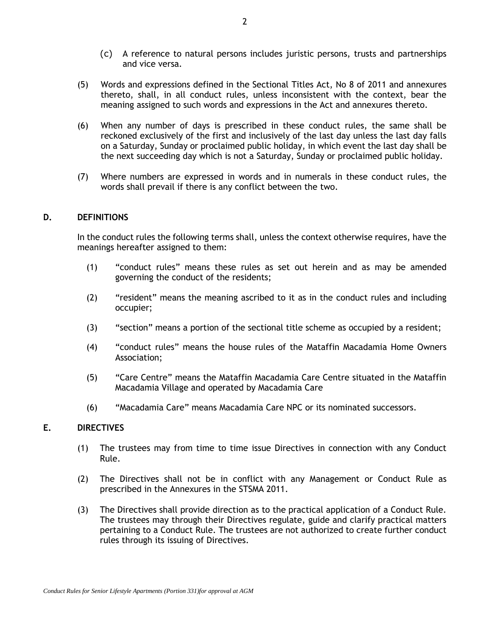- (c) A reference to natural persons includes juristic persons, trusts and partnerships and vice versa.
- (5) Words and expressions defined in the Sectional Titles Act, No 8 of 2011 and annexures thereto, shall, in all conduct rules, unless inconsistent with the context, bear the meaning assigned to such words and expressions in the Act and annexures thereto.
- (6) When any number of days is prescribed in these conduct rules, the same shall be reckoned exclusively of the first and inclusively of the last day unless the last day falls on a Saturday, Sunday or proclaimed public holiday, in which event the last day shall be the next succeeding day which is not a Saturday, Sunday or proclaimed public holiday.
- (7) Where numbers are expressed in words and in numerals in these conduct rules, the words shall prevail if there is any conflict between the two.

#### **D. DEFINITIONS**

In the conduct rules the following terms shall, unless the context otherwise requires, have the meanings hereafter assigned to them:

- (1) "conduct rules" means these rules as set out herein and as may be amended governing the conduct of the residents;
- (2) "resident" means the meaning ascribed to it as in the conduct rules and including occupier;
- (3) "section" means a portion of the sectional title scheme as occupied by a resident;
- (4) "conduct rules" means the house rules of the Mataffin Macadamia Home Owners Association;
- (5) "Care Centre" means the Mataffin Macadamia Care Centre situated in the Mataffin Macadamia Village and operated by Macadamia Care
- (6) "Macadamia Care" means Macadamia Care NPC or its nominated successors.

#### **E. DIRECTIVES**

- (1) The trustees may from time to time issue Directives in connection with any Conduct Rule.
- (2) The Directives shall not be in conflict with any Management or Conduct Rule as prescribed in the Annexures in the STSMA 2011.
- (3) The Directives shall provide direction as to the practical application of a Conduct Rule. The trustees may through their Directives regulate, guide and clarify practical matters pertaining to a Conduct Rule. The trustees are not authorized to create further conduct rules through its issuing of Directives.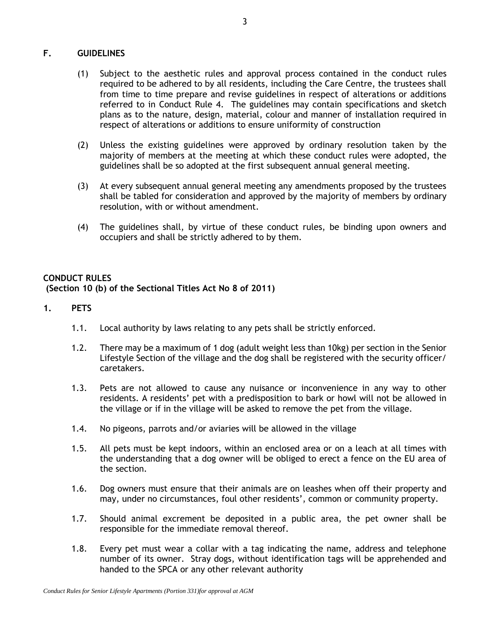# **F. GUIDELINES**

- (1) Subject to the aesthetic rules and approval process contained in the conduct rules required to be adhered to by all residents, including the Care Centre, the trustees shall from time to time prepare and revise guidelines in respect of alterations or additions referred to in Conduct Rule 4. The guidelines may contain specifications and sketch plans as to the nature, design, material, colour and manner of installation required in respect of alterations or additions to ensure uniformity of construction
- (2) Unless the existing guidelines were approved by ordinary resolution taken by the majority of members at the meeting at which these conduct rules were adopted, the guidelines shall be so adopted at the first subsequent annual general meeting.
- (3) At every subsequent annual general meeting any amendments proposed by the trustees shall be tabled for consideration and approved by the majority of members by ordinary resolution, with or without amendment.
- (4) The guidelines shall, by virtue of these conduct rules, be binding upon owners and occupiers and shall be strictly adhered to by them.

# **CONDUCT RULES (Section 10 (b) of the Sectional Titles Act No 8 of 2011)**

#### **1. PETS**

- 1.1. Local authority by laws relating to any pets shall be strictly enforced.
- 1.2. There may be a maximum of 1 dog (adult weight less than 10kg) per section in the Senior Lifestyle Section of the village and the dog shall be registered with the security officer/ caretakers.
- 1.3. Pets are not allowed to cause any nuisance or inconvenience in any way to other residents. A residents' pet with a predisposition to bark or howl will not be allowed in the village or if in the village will be asked to remove the pet from the village.
- 1.4. No pigeons, parrots and/or aviaries will be allowed in the village
- 1.5. All pets must be kept indoors, within an enclosed area or on a leach at all times with the understanding that a dog owner will be obliged to erect a fence on the EU area of the section.
- 1.6. Dog owners must ensure that their animals are on leashes when off their property and may, under no circumstances, foul other residents', common or community property.
- 1.7. Should animal excrement be deposited in a public area, the pet owner shall be responsible for the immediate removal thereof.
- 1.8. Every pet must wear a collar with a tag indicating the name, address and telephone number of its owner. Stray dogs, without identification tags will be apprehended and handed to the SPCA or any other relevant authority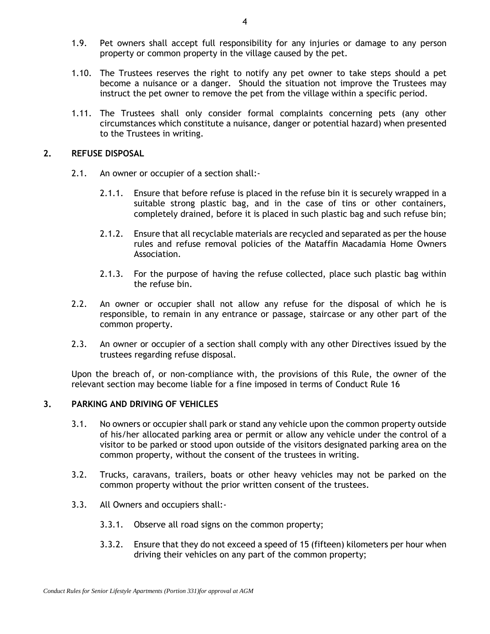- 1.9. Pet owners shall accept full responsibility for any injuries or damage to any person property or common property in the village caused by the pet.
- 1.10. The Trustees reserves the right to notify any pet owner to take steps should a pet become a nuisance or a danger. Should the situation not improve the Trustees may instruct the pet owner to remove the pet from the village within a specific period.
- 1.11. The Trustees shall only consider formal complaints concerning pets (any other circumstances which constitute a nuisance, danger or potential hazard) when presented to the Trustees in writing.

#### **2. REFUSE DISPOSAL**

- 2.1. An owner or occupier of a section shall:-
	- 2.1.1. Ensure that before refuse is placed in the refuse bin it is securely wrapped in a suitable strong plastic bag, and in the case of tins or other containers, completely drained, before it is placed in such plastic bag and such refuse bin;
	- 2.1.2. Ensure that all recyclable materials are recycled and separated as per the house rules and refuse removal policies of the Mataffin Macadamia Home Owners Association.
	- 2.1.3. For the purpose of having the refuse collected, place such plastic bag within the refuse bin.
- 2.2. An owner or occupier shall not allow any refuse for the disposal of which he is responsible, to remain in any entrance or passage, staircase or any other part of the common property.
- 2.3. An owner or occupier of a section shall comply with any other Directives issued by the trustees regarding refuse disposal.

Upon the breach of, or non-compliance with, the provisions of this Rule, the owner of the relevant section may become liable for a fine imposed in terms of Conduct Rule 16

# <span id="page-6-0"></span>**3. PARKING AND DRIVING OF VEHICLES**

- 3.1. No owners or occupier shall park or stand any vehicle upon the common property outside of his/her allocated parking area or permit or allow any vehicle under the control of a visitor to be parked or stood upon outside of the visitors designated parking area on the common property, without the consent of the trustees in writing.
- 3.2. Trucks, caravans, trailers, boats or other heavy vehicles may not be parked on the common property without the prior written consent of the trustees.
- 3.3. All Owners and occupiers shall:-
	- 3.3.1. Observe all road signs on the common property;
	- 3.3.2. Ensure that they do not exceed a speed of 15 (fifteen) kilometers per hour when driving their vehicles on any part of the common property;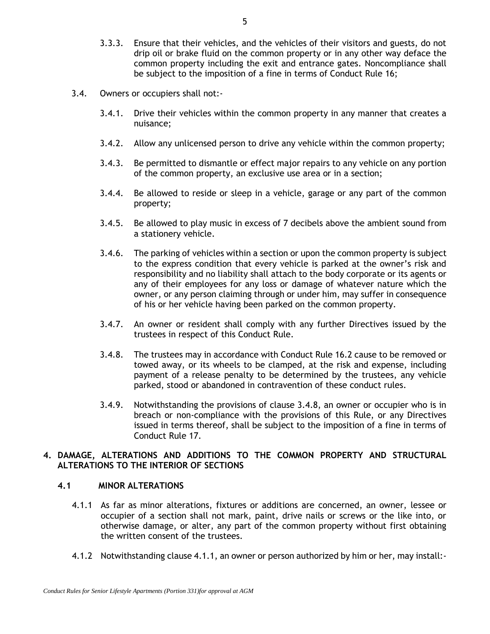- 3.3.3. Ensure that their vehicles, and the vehicles of their visitors and guests, do not drip oil or brake fluid on the common property or in any other way deface the common property including the exit and entrance gates. Noncompliance shall be subject to the imposition of a fine in terms of Conduct Rule 16;
- 3.4. Owners or occupiers shall not:-
	- 3.4.1. Drive their vehicles within the common property in any manner that creates a nuisance;
	- 3.4.2. Allow any unlicensed person to drive any vehicle within the common property;
	- 3.4.3. Be permitted to dismantle or effect major repairs to any vehicle on any portion of the common property, an exclusive use area or in a section;
	- 3.4.4. Be allowed to reside or sleep in a vehicle, garage or any part of the common property;
	- 3.4.5. Be allowed to play music in excess of 7 decibels above the ambient sound from a stationery vehicle.
	- 3.4.6. The parking of vehicles within a section or upon the common property is subject to the express condition that every vehicle is parked at the owner's risk and responsibility and no liability shall attach to the body corporate or its agents or any of their employees for any loss or damage of whatever nature which the owner, or any person claiming through or under him, may suffer in consequence of his or her vehicle having been parked on the common property.
	- 3.4.7. An owner or resident shall comply with any further Directives issued by the trustees in respect of this Conduct Rule.
	- 3.4.8. The trustees may in accordance with Conduct Rule 16.2 cause to be removed or towed away, or its wheels to be clamped, at the risk and expense, including payment of a release penalty to be determined by the trustees, any vehicle parked, stood or abandoned in contravention of these conduct rules.
	- 3.4.9. Notwithstanding the provisions of clause 3.4.8, an owner or occupier who is in breach or non-compliance with the provisions of this Rule, or any Directives issued in terms thereof, shall be subject to the imposition of a fine in terms of Conduct Rule 17.

# <span id="page-7-2"></span>**4. DAMAGE, ALTERATIONS AND ADDITIONS TO THE COMMON PROPERTY AND STRUCTURAL ALTERATIONS TO THE INTERIOR OF SECTIONS**

# <span id="page-7-0"></span>**4.1 MINOR ALTERATIONS**

- 4.1.1 As far as minor alterations, fixtures or additions are concerned, an owner, lessee or occupier of a section shall not mark, paint, drive nails or screws or the like into, or otherwise damage, or alter, any part of the common property without first obtaining the written consent of the trustees.
- <span id="page-7-1"></span>4.1.2 Notwithstanding clause [4.1.1,](#page-7-0) an owner or person authorized by him or her, may install:-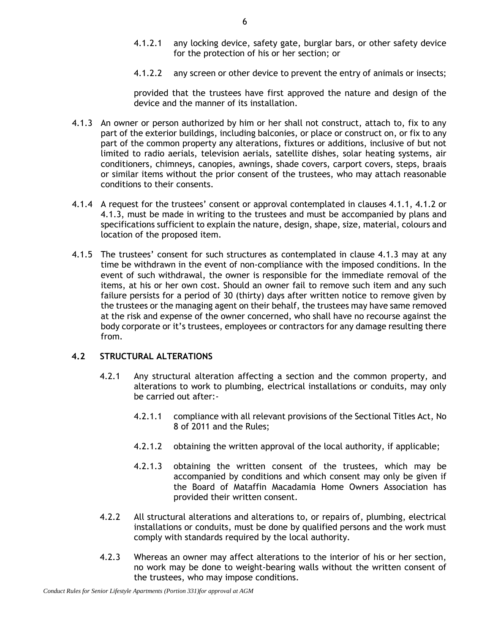- 4.1.2.1 any locking device, safety gate, burglar bars, or other safety device for the protection of his or her section; or
- 4.1.2.2 any screen or other device to prevent the entry of animals or insects;

provided that the trustees have first approved the nature and design of the device and the manner of its installation.

- <span id="page-8-0"></span>4.1.3 An owner or person authorized by him or her shall not construct, attach to, fix to any part of the exterior buildings, including balconies, or place or construct on, or fix to any part of the common property any alterations, fixtures or additions, inclusive of but not limited to radio aerials, television aerials, satellite dishes, solar heating systems, air conditioners, chimneys, canopies, awnings, shade covers, carport covers, steps, braais or similar items without the prior consent of the trustees, who may attach reasonable conditions to their consents.
- 4.1.4 A request for the trustees' consent or approval contemplated in clauses [4.1.1,](#page-7-0) [4.1.2](#page-7-1) or [4.1.3,](#page-8-0) must be made in writing to the trustees and must be accompanied by plans and specifications sufficient to explain the nature, design, shape, size, material, colours and location of the proposed item.
- 4.1.5 The trustees' consent for such structures as contemplated in clause [4.1.3](#page-8-0) may at any time be withdrawn in the event of non-compliance with the imposed conditions. In the event of such withdrawal, the owner is responsible for the immediate removal of the items, at his or her own cost. Should an owner fail to remove such item and any such failure persists for a period of 30 (thirty) days after written notice to remove given by the trustees or the managing agent on their behalf, the trustees may have same removed at the risk and expense of the owner concerned, who shall have no recourse against the body corporate or it's trustees, employees or contractors for any damage resulting there from.

# **4.2 STRUCTURAL ALTERATIONS**

- 4.2.1 Any structural alteration affecting a section and the common property, and alterations to work to plumbing, electrical installations or conduits, may only be carried out after:-
	- 4.2.1.1 compliance with all relevant provisions of the Sectional Titles Act, No 8 of 2011 and the Rules;
	- 4.2.1.2 obtaining the written approval of the local authority, if applicable;
	- 4.2.1.3 obtaining the written consent of the trustees, which may be accompanied by conditions and which consent may only be given if the Board of Mataffin Macadamia Home Owners Association has provided their written consent.
- 4.2.2 All structural alterations and alterations to, or repairs of, plumbing, electrical installations or conduits, must be done by qualified persons and the work must comply with standards required by the local authority.
- 4.2.3 Whereas an owner may affect alterations to the interior of his or her section, no work may be done to weight-bearing walls without the written consent of the trustees, who may impose conditions.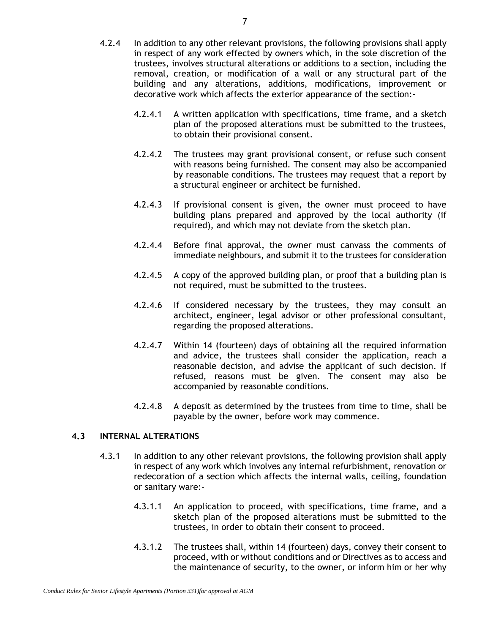- 4.2.4 In addition to any other relevant provisions, the following provisions shall apply in respect of any work effected by owners which, in the sole discretion of the trustees, involves structural alterations or additions to a section, including the removal, creation, or modification of a wall or any structural part of the building and any alterations, additions, modifications, improvement or decorative work which affects the exterior appearance of the section:-
	- 4.2.4.1 A written application with specifications, time frame, and a sketch plan of the proposed alterations must be submitted to the trustees, to obtain their provisional consent.
	- 4.2.4.2 The trustees may grant provisional consent, or refuse such consent with reasons being furnished. The consent may also be accompanied by reasonable conditions. The trustees may request that a report by a structural engineer or architect be furnished.
	- 4.2.4.3 If provisional consent is given, the owner must proceed to have building plans prepared and approved by the local authority (if required), and which may not deviate from the sketch plan.
	- 4.2.4.4 Before final approval, the owner must canvass the comments of immediate neighbours, and submit it to the trustees for consideration
	- 4.2.4.5 A copy of the approved building plan, or proof that a building plan is not required, must be submitted to the trustees.
	- 4.2.4.6 If considered necessary by the trustees, they may consult an architect, engineer, legal advisor or other professional consultant, regarding the proposed alterations.
	- 4.2.4.7 Within 14 (fourteen) days of obtaining all the required information and advice, the trustees shall consider the application, reach a reasonable decision, and advise the applicant of such decision. If refused, reasons must be given. The consent may also be accompanied by reasonable conditions.
	- 4.2.4.8 A deposit as determined by the trustees from time to time, shall be payable by the owner, before work may commence.

# **4.3 INTERNAL ALTERATIONS**

- 4.3.1 In addition to any other relevant provisions, the following provision shall apply in respect of any work which involves any internal refurbishment, renovation or redecoration of a section which affects the internal walls, ceiling, foundation or sanitary ware:-
	- 4.3.1.1 An application to proceed, with specifications, time frame, and a sketch plan of the proposed alterations must be submitted to the trustees, in order to obtain their consent to proceed.
	- 4.3.1.2 The trustees shall, within 14 (fourteen) days, convey their consent to proceed, with or without conditions and or Directives as to access and the maintenance of security, to the owner, or inform him or her why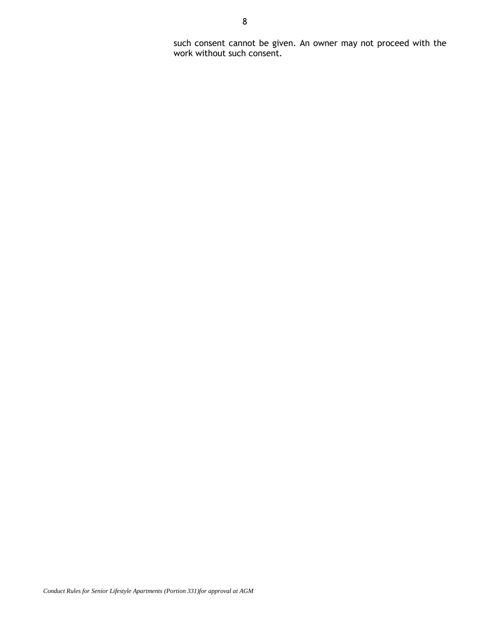such consent cannot be given. An owner may not proceed with the work without such consent.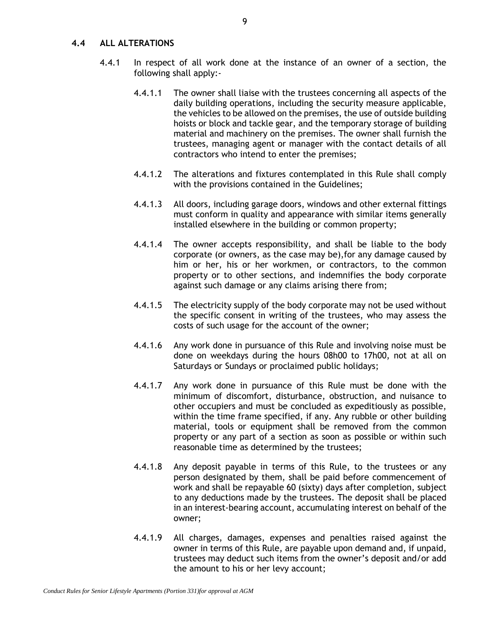#### **4.4 ALL ALTERATIONS**

- 4.4.1 In respect of all work done at the instance of an owner of a section, the following shall apply:-
	- 4.4.1.1 The owner shall liaise with the trustees concerning all aspects of the daily building operations, including the security measure applicable, the vehicles to be allowed on the premises, the use of outside building hoists or block and tackle gear, and the temporary storage of building material and machinery on the premises. The owner shall furnish the trustees, managing agent or manager with the contact details of all contractors who intend to enter the premises;
	- 4.4.1.2 The alterations and fixtures contemplated in this Rule shall comply with the provisions contained in the Guidelines;
	- 4.4.1.3 All doors, including garage doors, windows and other external fittings must conform in quality and appearance with similar items generally installed elsewhere in the building or common property;
	- 4.4.1.4 The owner accepts responsibility, and shall be liable to the body corporate (or owners, as the case may be),for any damage caused by him or her, his or her workmen, or contractors, to the common property or to other sections, and indemnifies the body corporate against such damage or any claims arising there from;
	- 4.4.1.5 The electricity supply of the body corporate may not be used without the specific consent in writing of the trustees, who may assess the costs of such usage for the account of the owner;
	- 4.4.1.6 Any work done in pursuance of this Rule and involving noise must be done on weekdays during the hours 08h00 to 17h00, not at all on Saturdays or Sundays or proclaimed public holidays;
	- 4.4.1.7 Any work done in pursuance of this Rule must be done with the minimum of discomfort, disturbance, obstruction, and nuisance to other occupiers and must be concluded as expeditiously as possible, within the time frame specified, if any. Any rubble or other building material, tools or equipment shall be removed from the common property or any part of a section as soon as possible or within such reasonable time as determined by the trustees;
	- 4.4.1.8 Any deposit payable in terms of this Rule, to the trustees or any person designated by them, shall be paid before commencement of work and shall be repayable 60 (sixty) days after completion, subject to any deductions made by the trustees. The deposit shall be placed in an interest-bearing account, accumulating interest on behalf of the owner;
	- 4.4.1.9 All charges, damages, expenses and penalties raised against the owner in terms of this Rule, are payable upon demand and, if unpaid, trustees may deduct such items from the owner's deposit and/or add the amount to his or her levy account;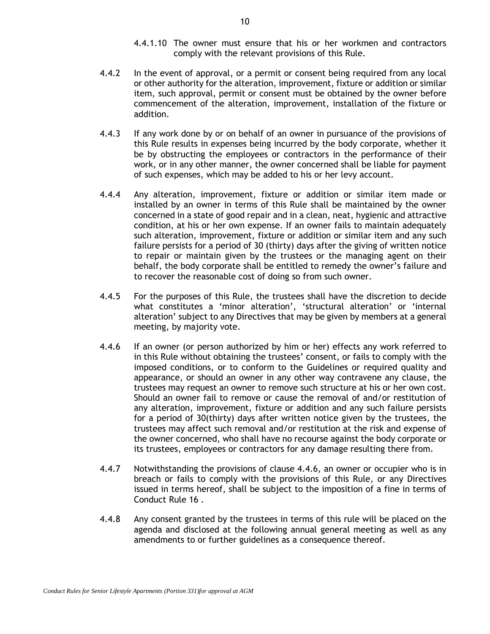- 4.4.1.10 The owner must ensure that his or her workmen and contractors comply with the relevant provisions of this Rule.
- 4.4.2 In the event of approval, or a permit or consent being required from any local or other authority for the alteration, improvement, fixture or addition or similar item, such approval, permit or consent must be obtained by the owner before commencement of the alteration, improvement, installation of the fixture or addition.
- 4.4.3 If any work done by or on behalf of an owner in pursuance of the provisions of this Rule results in expenses being incurred by the body corporate, whether it be by obstructing the employees or contractors in the performance of their work, or in any other manner, the owner concerned shall be liable for payment of such expenses, which may be added to his or her levy account.
- 4.4.4 Any alteration, improvement, fixture or addition or similar item made or installed by an owner in terms of this Rule shall be maintained by the owner concerned in a state of good repair and in a clean, neat, hygienic and attractive condition, at his or her own expense. If an owner fails to maintain adequately such alteration, improvement, fixture or addition or similar item and any such failure persists for a period of 30 (thirty) days after the giving of written notice to repair or maintain given by the trustees or the managing agent on their behalf, the body corporate shall be entitled to remedy the owner's failure and to recover the reasonable cost of doing so from such owner.
- 4.4.5 For the purposes of this Rule, the trustees shall have the discretion to decide what constitutes a 'minor alteration', 'structural alteration' or 'internal alteration' subject to any Directives that may be given by members at a general meeting, by majority vote.
- 4.4.6 If an owner (or person authorized by him or her) effects any work referred to in this Rule without obtaining the trustees' consent, or fails to comply with the imposed conditions, or to conform to the Guidelines or required quality and appearance, or should an owner in any other way contravene any clause, the trustees may request an owner to remove such structure at his or her own cost. Should an owner fail to remove or cause the removal of and/or restitution of any alteration, improvement, fixture or addition and any such failure persists for a period of 30(thirty) days after written notice given by the trustees, the trustees may affect such removal and/or restitution at the risk and expense of the owner concerned, who shall have no recourse against the body corporate or its trustees, employees or contractors for any damage resulting there from.
- 4.4.7 Notwithstanding the provisions of clause 4.4.6, an owner or occupier who is in breach or fails to comply with the provisions of this Rule, or any Directives issued in terms hereof, shall be subject to the imposition of a fine in terms of Conduct Rule 16 .
- <span id="page-12-0"></span>4.4.8 Any consent granted by the trustees in terms of this rule will be placed on the agenda and disclosed at the following annual general meeting as well as any amendments to or further guidelines as a consequence thereof.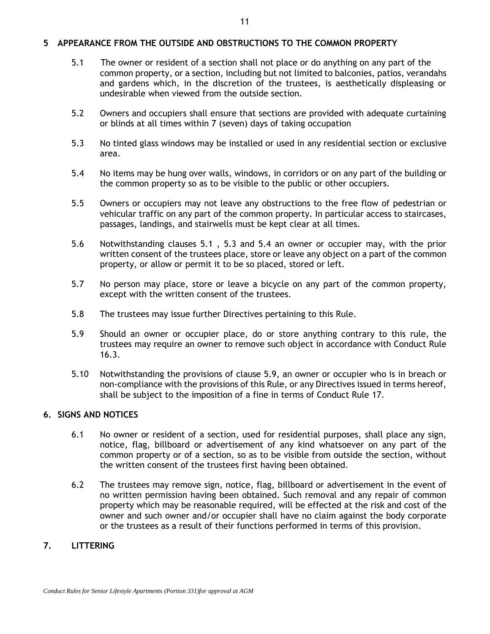#### **5 APPEARANCE FROM THE OUTSIDE AND OBSTRUCTIONS TO THE COMMON PROPERTY**

- <span id="page-13-0"></span>5.1 The owner or resident of a section shall not place or do anything on any part of the common property, or a section, including but not limited to balconies, patios, verandahs and gardens which, in the discretion of the trustees, is aesthetically displeasing or undesirable when viewed from the outside section.
- 5.2 Owners and occupiers shall ensure that sections are provided with adequate curtaining or blinds at all times within 7 (seven) days of taking occupation
- <span id="page-13-1"></span>5.3 No tinted glass windows may be installed or used in any residential section or exclusive area.
- <span id="page-13-2"></span>5.4 No items may be hung over walls, windows, in corridors or on any part of the building or the common property so as to be visible to the public or other occupiers.
- 5.5 Owners or occupiers may not leave any obstructions to the free flow of pedestrian or vehicular traffic on any part of the common property. In particular access to staircases, passages, landings, and stairwells must be kept clear at all times.
- 5.6 Notwithstanding clauses [5.1](#page-13-0) , [5.3](#page-13-1) and [5.4](#page-13-2) an owner or occupier may, with the prior written consent of the trustees place, store or leave any object on a part of the common property, or allow or permit it to be so placed, stored or left.
- 5.7 No person may place, store or leave a bicycle on any part of the common property, except with the written consent of the trustees.
- 5.8 The trustees may issue further Directives pertaining to this Rule.
- 5.9 Should an owner or occupier place, do or store anything contrary to this rule, the trustees may require an owner to remove such object in accordance with Conduct Rule 16.3.
- 5.10 Notwithstanding the provisions of clause 5.9, an owner or occupier who is in breach or non-compliance with the provisions of this Rule, or any Directives issued in terms hereof, shall be subject to the imposition of a fine in terms of Conduct Rule 17.

# **6. SIGNS AND NOTICES**

- 6.1 No owner or resident of a section, used for residential purposes, shall place any sign, notice, flag, billboard or advertisement of any kind whatsoever on any part of the common property or of a section, so as to be visible from outside the section, without the written consent of the trustees first having been obtained.
- 6.2 The trustees may remove sign, notice, flag, billboard or advertisement in the event of no written permission having been obtained. Such removal and any repair of common property which may be reasonable required, will be effected at the risk and cost of the owner and such owner and/or occupier shall have no claim against the body corporate or the trustees as a result of their functions performed in terms of this provision.

# **7. LITTERING**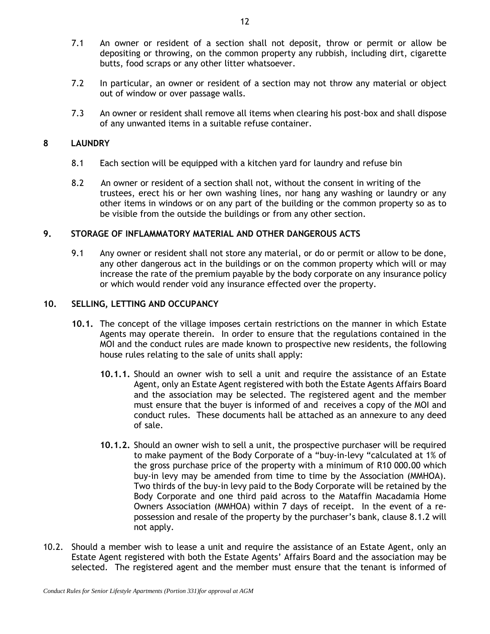- 7.1 An owner or resident of a section shall not deposit, throw or permit or allow be depositing or throwing, on the common property any rubbish, including dirt, cigarette butts, food scraps or any other litter whatsoever.
- 7.2 In particular, an owner or resident of a section may not throw any material or object out of window or over passage walls.
- 7.3 An owner or resident shall remove all items when clearing his post-box and shall dispose of any unwanted items in a suitable refuse container.

#### **8 LAUNDRY**

- 8.1 Each section will be equipped with a kitchen yard for laundry and refuse bin
- 8.2 An owner or resident of a section shall not, without the consent in writing of the trustees, erect his or her own washing lines, nor hang any washing or laundry or any other items in windows or on any part of the building or the common property so as to be visible from the outside the buildings or from any other section.

#### **9. STORAGE OF INFLAMMATORY MATERIAL AND OTHER DANGEROUS ACTS**

9.1 Any owner or resident shall not store any material, or do or permit or allow to be done, any other dangerous act in the buildings or on the common property which will or may increase the rate of the premium payable by the body corporate on any insurance policy or which would render void any insurance effected over the property.

# **10. SELLING, LETTING AND OCCUPANCY**

- **10.1.** The concept of the village imposes certain restrictions on the manner in which Estate Agents may operate therein. In order to ensure that the regulations contained in the MOI and the conduct rules are made known to prospective new residents, the following house rules relating to the sale of units shall apply:
	- **10.1.1.** Should an owner wish to sell a unit and require the assistance of an Estate Agent, only an Estate Agent registered with both the Estate Agents Affairs Board and the association may be selected. The registered agent and the member must ensure that the buyer is informed of and receives a copy of the MOI and conduct rules. These documents hall be attached as an annexure to any deed of sale.
	- **10.1.2.** Should an owner wish to sell a unit, the prospective purchaser will be required to make payment of the Body Corporate of a "buy-in-levy "calculated at 1% of the gross purchase price of the property with a minimum of R10 000.00 which buy-in levy may be amended from time to time by the Association (MMHOA). Two thirds of the buy-in levy paid to the Body Corporate will be retained by the Body Corporate and one third paid across to the Mataffin Macadamia Home Owners Association (MMHOA) within 7 days of receipt. In the event of a repossession and resale of the property by the purchaser's bank, clause 8.1.2 will not apply.
- 10.2. Should a member wish to lease a unit and require the assistance of an Estate Agent, only an Estate Agent registered with both the Estate Agents' Affairs Board and the association may be selected. The registered agent and the member must ensure that the tenant is informed of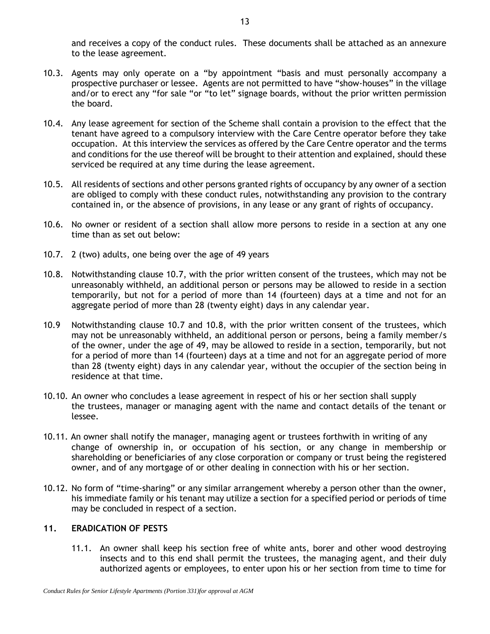and receives a copy of the conduct rules. These documents shall be attached as an annexure to the lease agreement.

- 10.3. Agents may only operate on a "by appointment "basis and must personally accompany a prospective purchaser or lessee. Agents are not permitted to have "show-houses" in the village and/or to erect any "for sale "or "to let" signage boards, without the prior written permission the board.
- 10.4. Any lease agreement for section of the Scheme shall contain a provision to the effect that the tenant have agreed to a compulsory interview with the Care Centre operator before they take occupation. At this interview the services as offered by the Care Centre operator and the terms and conditions for the use thereof will be brought to their attention and explained, should these serviced be required at any time during the lease agreement.
- 10.5. All residents of sections and other persons granted rights of occupancy by any owner of a section are obliged to comply with these conduct rules, notwithstanding any provision to the contrary contained in, or the absence of provisions, in any lease or any grant of rights of occupancy.
- 10.6. No owner or resident of a section shall allow more persons to reside in a section at any one time than as set out below:
- 10.7. 2 (two) adults, one being over the age of 49 years
- 10.8. Notwithstanding clause 10.7, with the prior written consent of the trustees, which may not be unreasonably withheld, an additional person or persons may be allowed to reside in a section temporarily, but not for a period of more than 14 (fourteen) days at a time and not for an aggregate period of more than 28 (twenty eight) days in any calendar year.
- 10.9 Notwithstanding clause 10.7 and 10.8, with the prior written consent of the trustees, which may not be unreasonably withheld, an additional person or persons, being a family member/s of the owner, under the age of 49, may be allowed to reside in a section, temporarily, but not for a period of more than 14 (fourteen) days at a time and not for an aggregate period of more than 28 (twenty eight) days in any calendar year, without the occupier of the section being in residence at that time.
- 10.10. An owner who concludes a lease agreement in respect of his or her section shall supply the trustees, manager or managing agent with the name and contact details of the tenant or lessee.
- 10.11. An owner shall notify the manager, managing agent or trustees forthwith in writing of any change of ownership in, or occupation of his section, or any change in membership or shareholding or beneficiaries of any close corporation or company or trust being the registered owner, and of any mortgage of or other dealing in connection with his or her section.
- 10.12. No form of "time-sharing" or any similar arrangement whereby a person other than the owner, his immediate family or his tenant may utilize a section for a specified period or periods of time may be concluded in respect of a section.

# **11. ERADICATION OF PESTS**

11.1. An owner shall keep his section free of white ants, borer and other wood destroying insects and to this end shall permit the trustees, the managing agent, and their duly authorized agents or employees, to enter upon his or her section from time to time for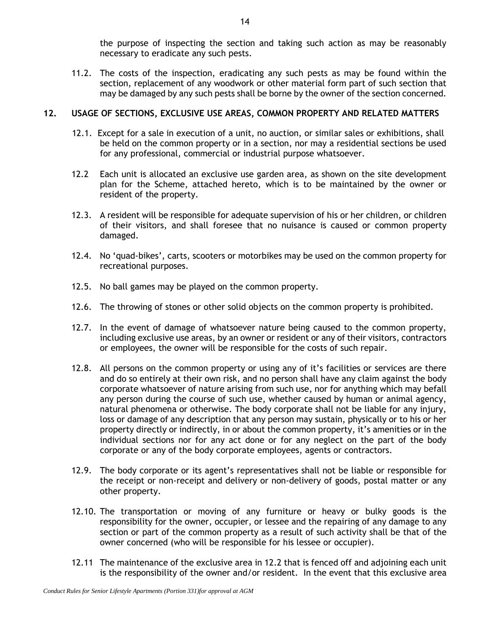the purpose of inspecting the section and taking such action as may be reasonably necessary to eradicate any such pests.

11.2. The costs of the inspection, eradicating any such pests as may be found within the section, replacement of any woodwork or other material form part of such section that may be damaged by any such pests shall be borne by the owner of the section concerned.

# **12. USAGE OF SECTIONS, EXCLUSIVE USE AREAS, COMMON PROPERTY AND RELATED MATTERS**

- 12.1. Except for a sale in execution of a unit, no auction, or similar sales or exhibitions, shall be held on the common property or in a section, nor may a residential sections be used for any professional, commercial or industrial purpose whatsoever.
- 12.2 Each unit is allocated an exclusive use garden area, as shown on the site development plan for the Scheme, attached hereto, which is to be maintained by the owner or resident of the property.
- 12.3. A resident will be responsible for adequate supervision of his or her children, or children of their visitors, and shall foresee that no nuisance is caused or common property damaged.
- 12.4. No 'quad-bikes', carts, scooters or motorbikes may be used on the common property for recreational purposes.
- 12.5. No ball games may be played on the common property.
- 12.6. The throwing of stones or other solid objects on the common property is prohibited.
- 12.7. In the event of damage of whatsoever nature being caused to the common property, including exclusive use areas, by an owner or resident or any of their visitors, contractors or employees, the owner will be responsible for the costs of such repair.
- 12.8. All persons on the common property or using any of it's facilities or services are there and do so entirely at their own risk, and no person shall have any claim against the body corporate whatsoever of nature arising from such use, nor for anything which may befall any person during the course of such use, whether caused by human or animal agency, natural phenomena or otherwise. The body corporate shall not be liable for any injury, loss or damage of any description that any person may sustain, physically or to his or her property directly or indirectly, in or about the common property, it's amenities or in the individual sections nor for any act done or for any neglect on the part of the body corporate or any of the body corporate employees, agents or contractors.
- 12.9. The body corporate or its agent's representatives shall not be liable or responsible for the receipt or non-receipt and delivery or non-delivery of goods, postal matter or any other property.
- 12.10. The transportation or moving of any furniture or heavy or bulky goods is the responsibility for the owner, occupier, or lessee and the repairing of any damage to any section or part of the common property as a result of such activity shall be that of the owner concerned (who will be responsible for his lessee or occupier).
- 12.11 The maintenance of the exclusive area in 12.2 that is fenced off and adjoining each unit is the responsibility of the owner and/or resident. In the event that this exclusive area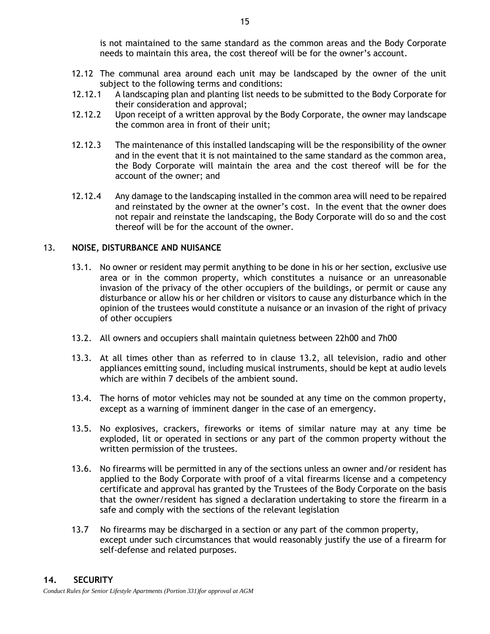is not maintained to the same standard as the common areas and the Body Corporate needs to maintain this area, the cost thereof will be for the owner's account.

- 12.12 The communal area around each unit may be landscaped by the owner of the unit subject to the following terms and conditions:
- 12.12.1 A landscaping plan and planting list needs to be submitted to the Body Corporate for their consideration and approval;
- 12.12.2 Upon receipt of a written approval by the Body Corporate, the owner may landscape the common area in front of their unit;
- 12.12.3 The maintenance of this installed landscaping will be the responsibility of the owner and in the event that it is not maintained to the same standard as the common area, the Body Corporate will maintain the area and the cost thereof will be for the account of the owner; and
- 12.12.4 Any damage to the landscaping installed in the common area will need to be repaired and reinstated by the owner at the owner's cost. In the event that the owner does not repair and reinstate the landscaping, the Body Corporate will do so and the cost thereof will be for the account of the owner.

#### 13. **NOISE, DISTURBANCE AND NUISANCE**

- 13.1. No owner or resident may permit anything to be done in his or her section, exclusive use area or in the common property, which constitutes a nuisance or an unreasonable invasion of the privacy of the other occupiers of the buildings, or permit or cause any disturbance or allow his or her children or visitors to cause any disturbance which in the opinion of the trustees would constitute a nuisance or an invasion of the right of privacy of other occupiers
- 13.2. All owners and occupiers shall maintain quietness between 22h00 and 7h00
- 13.3. At all times other than as referred to in clause 13.2, all television, radio and other appliances emitting sound, including musical instruments, should be kept at audio levels which are within 7 decibels of the ambient sound.
- 13.4. The horns of motor vehicles may not be sounded at any time on the common property, except as a warning of imminent danger in the case of an emergency.
- 13.5. No explosives, crackers, fireworks or items of similar nature may at any time be exploded, lit or operated in sections or any part of the common property without the written permission of the trustees.
- 13.6. No firearms will be permitted in any of the sections unless an owner and/or resident has applied to the Body Corporate with proof of a vital firearms license and a competency certificate and approval has granted by the Trustees of the Body Corporate on the basis that the owner/resident has signed a declaration undertaking to store the firearm in a safe and comply with the sections of the relevant legislation
- 13.7 No firearms may be discharged in a section or any part of the common property, except under such circumstances that would reasonably justify the use of a firearm for self-defense and related purposes.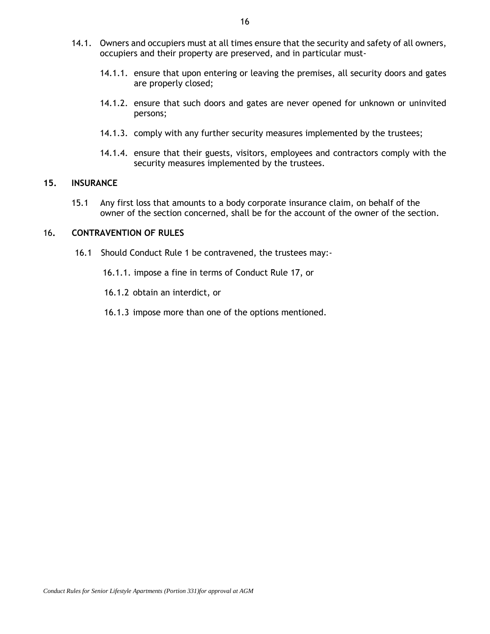- 14.1. Owners and occupiers must at all times ensure that the security and safety of all owners, occupiers and their property are preserved, and in particular must-
	- 14.1.1. ensure that upon entering or leaving the premises, all security doors and gates are properly closed;
	- 14.1.2. ensure that such doors and gates are never opened for unknown or uninvited persons;
	- 14.1.3. comply with any further security measures implemented by the trustees;
	- 14.1.4. ensure that their guests, visitors, employees and contractors comply with the security measures implemented by the trustees.

#### **15. INSURANCE**

15.1 Any first loss that amounts to a body corporate insurance claim, on behalf of the owner of the section concerned, shall be for the account of the owner of the section.

#### 16**. CONTRAVENTION OF RULES**

- 16.1 Should Conduct Rule 1 be contravened, the trustees may:-
	- 16.1.1. impose a fine in terms of Conduct Rule 17, or

16.1.2 obtain an interdict, or

16.1.3 impose more than one of the options mentioned.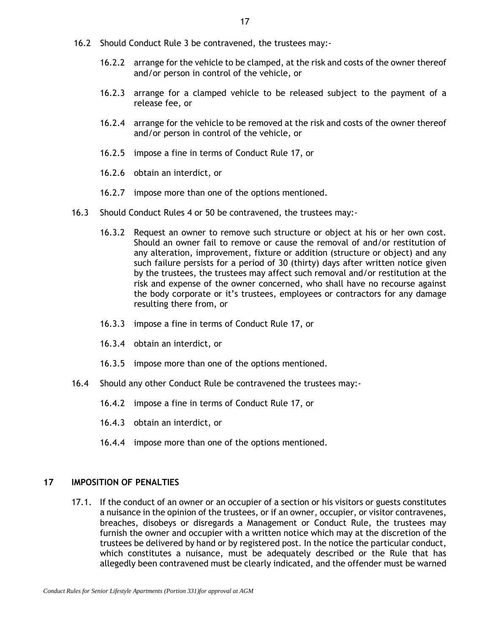- 16.2 Should Conduct Rule [3](#page-6-0) be contravened, the trustees may:-
	- 16.2.2 arrange for the vehicle to be clamped, at the risk and costs of the owner thereof and/or person in control of the vehicle, or
	- 16.2.3 arrange for a clamped vehicle to be released subject to the payment of a release fee, or
	- 16.2.4 arrange for the vehicle to be removed at the risk and costs of the owner thereof and/or person in control of the vehicle, or
	- 16.2.5 impose a fine in terms of Conduct Rule 17, or
	- 16.2.6 obtain an interdict, or
	- 16.2.7 impose more than one of the options mentioned.
- 16.3 Should Conduct Rules [4](#page-7-2) or [50](#page-12-0) be contravened, the trustees may:-
	- 16.3.2 Request an owner to remove such structure or object at his or her own cost. Should an owner fail to remove or cause the removal of and/or restitution of any alteration, improvement, fixture or addition (structure or object) and any such failure persists for a period of 30 (thirty) days after written notice given by the trustees, the trustees may affect such removal and/or restitution at the risk and expense of the owner concerned, who shall have no recourse against the body corporate or it's trustees, employees or contractors for any damage resulting there from, or
	- 16.3.3 impose a fine in terms of Conduct Rule 17, or
	- 16.3.4 obtain an interdict, or
	- 16.3.5 impose more than one of the options mentioned.
- 16.4 Should any other Conduct Rule be contravened the trustees may:-
	- 16.4.2 impose a fine in terms of Conduct Rule 17, or
	- 16.4.3 obtain an interdict, or
	- 16.4.4 impose more than one of the options mentioned.

# **17 IMPOSITION OF PENALTIES**

17.1. If the conduct of an owner or an occupier of a section or his visitors or guests constitutes a nuisance in the opinion of the trustees, or if an owner, occupier, or visitor contravenes, breaches, disobeys or disregards a Management or Conduct Rule, the trustees may furnish the owner and occupier with a written notice which may at the discretion of the trustees be delivered by hand or by registered post. In the notice the particular conduct, which constitutes a nuisance, must be adequately described or the Rule that has allegedly been contravened must be clearly indicated, and the offender must be warned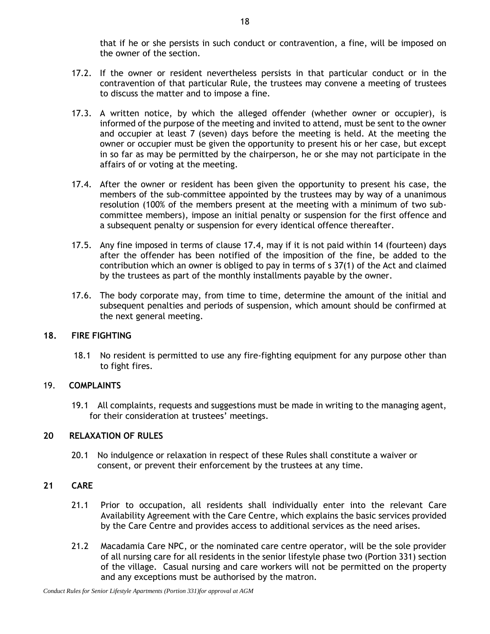that if he or she persists in such conduct or contravention, a fine, will be imposed on the owner of the section.

- 17.2. If the owner or resident nevertheless persists in that particular conduct or in the contravention of that particular Rule, the trustees may convene a meeting of trustees to discuss the matter and to impose a fine.
- 17.3. A written notice, by which the alleged offender (whether owner or occupier), is informed of the purpose of the meeting and invited to attend, must be sent to the owner and occupier at least 7 (seven) days before the meeting is held. At the meeting the owner or occupier must be given the opportunity to present his or her case, but except in so far as may be permitted by the chairperson, he or she may not participate in the affairs of or voting at the meeting.
- <span id="page-20-0"></span>17.4. After the owner or resident has been given the opportunity to present his case, the members of the sub-committee appointed by the trustees may by way of a unanimous resolution (100% of the members present at the meeting with a minimum of two subcommittee members), impose an initial penalty or suspension for the first offence and a subsequent penalty or suspension for every identical offence thereafter.
- 17.5. Any fine imposed in terms of clause [17.4,](#page-20-0) may if it is not paid within 14 (fourteen) days after the offender has been notified of the imposition of the fine, be added to the contribution which an owner is obliged to pay in terms of s 37(1) of the Act and claimed by the trustees as part of the monthly installments payable by the owner.
- 17.6. The body corporate may, from time to time, determine the amount of the initial and subsequent penalties and periods of suspension, which amount should be confirmed at the next general meeting.

# **18. FIRE FIGHTING**

18.1 No resident is permitted to use any fire-fighting equipment for any purpose other than to fight fires.

#### 19. **COMPLAINTS**

19.1 All complaints, requests and suggestions must be made in writing to the managing agent, for their consideration at trustees' meetings.

# **20 RELAXATION OF RULES**

20.1 No indulgence or relaxation in respect of these Rules shall constitute a waiver or consent, or prevent their enforcement by the trustees at any time.

# **21 CARE**

- 21.1 Prior to occupation, all residents shall individually enter into the relevant Care Availability Agreement with the Care Centre, which explains the basic services provided by the Care Centre and provides access to additional services as the need arises.
- 21.2 Macadamia Care NPC, or the nominated care centre operator, will be the sole provider of all nursing care for all residents in the senior lifestyle phase two (Portion 331) section of the village. Casual nursing and care workers will not be permitted on the property and any exceptions must be authorised by the matron.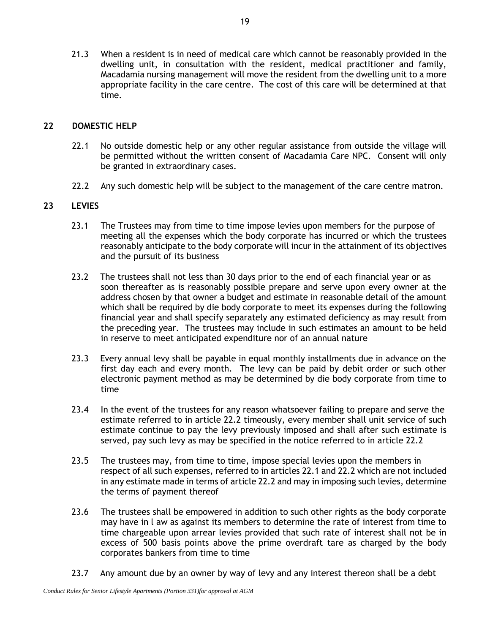21.3 When a resident is in need of medical care which cannot be reasonably provided in the dwelling unit, in consultation with the resident, medical practitioner and family, Macadamia nursing management will move the resident from the dwelling unit to a more appropriate facility in the care centre. The cost of this care will be determined at that time.

#### **22 DOMESTIC HELP**

- 22.1 No outside domestic help or any other regular assistance from outside the village will be permitted without the written consent of Macadamia Care NPC. Consent will only be granted in extraordinary cases.
- 22.2 Any such domestic help will be subject to the management of the care centre matron.

#### **23 LEVIES**

- 23.1 The Trustees may from time to time impose levies upon members for the purpose of meeting all the expenses which the body corporate has incurred or which the trustees reasonably anticipate to the body corporate will incur in the attainment of its objectives and the pursuit of its business
- 23.2 The trustees shall not less than 30 days prior to the end of each financial year or as soon thereafter as is reasonably possible prepare and serve upon every owner at the address chosen by that owner a budget and estimate in reasonable detail of the amount which shall be required by die body corporate to meet its expenses during the following financial year and shall specify separately any estimated deficiency as may result from the preceding year. The trustees may include in such estimates an amount to be held in reserve to meet anticipated expenditure nor of an annual nature
- 23.3 Every annual levy shall be payable in equal monthly installments due in advance on the first day each and every month. The levy can be paid by debit order or such other electronic payment method as may be determined by die body corporate from time to time
- 23.4 In the event of the trustees for any reason whatsoever failing to prepare and serve the estimate referred to in article 22.2 timeously, every member shall unit service of such estimate continue to pay the levy previously imposed and shall after such estimate is served, pay such levy as may be specified in the notice referred to in article 22.2
- 23.5 The trustees may, from time to time, impose special levies upon the members in respect of all such expenses, referred to in articles 22.1 and 22.2 which are not included in any estimate made in terms of article 22.2 and may in imposing such levies, determine the terms of payment thereof
- 23.6 The trustees shall be empowered in addition to such other rights as the body corporate may have in l aw as against its members to determine the rate of interest from time to time chargeable upon arrear levies provided that such rate of interest shall not be in excess of 500 basis points above the prime overdraft tare as charged by the body corporates bankers from time to time
- 23.7 Any amount due by an owner by way of levy and any interest thereon shall be a debt